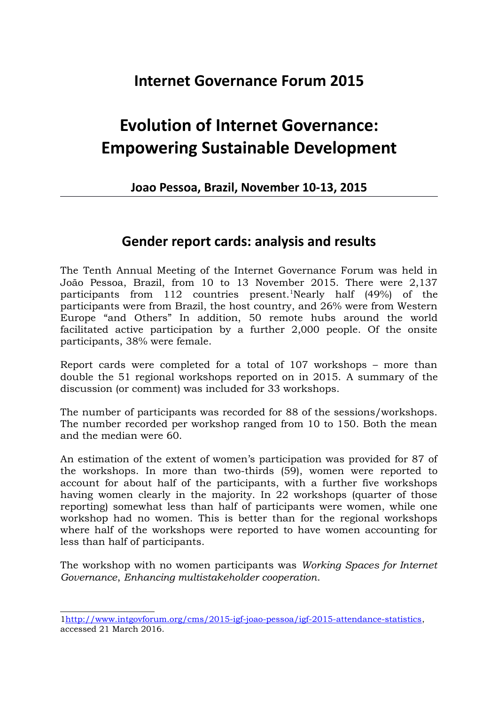## **Internet Governance Forum 2015**

## **Evolution of Internet Governance: Empowering Sustainable Development**

## **Joao Pessoa, Brazil, November 10-13, 2015**

## **Gender report cards: analysis and results**

The Tenth Annual Meeting of the Internet Governance Forum was held in João Pessoa, Brazil, from 10 to 13 November 2015. There were 2,137 participants from  $112$  $112$  countries present.<sup>1</sup>Nearly half  $(49\%)$  of the participants were from Brazil, the host country, and 26% were from Western Europe "and Others" In addition, 50 remote hubs around the world facilitated active participation by a further 2,000 people. Of the onsite participants, 38% were female.

Report cards were completed for a total of 107 workshops – more than double the 51 regional workshops reported on in 2015. A summary of the discussion (or comment) was included for 33 workshops.

The number of participants was recorded for 88 of the sessions/workshops. The number recorded per workshop ranged from 10 to 150. Both the mean and the median were 60.

An estimation of the extent of women's participation was provided for 87 of the workshops. In more than two-thirds (59), women were reported to account for about half of the participants, with a further five workshops having women clearly in the majority. In 22 workshops (quarter of those reporting) somewhat less than half of participants were women, while one workshop had no women. This is better than for the regional workshops where half of the workshops were reported to have women accounting for less than half of participants.

The workshop with no women participants was *Working Spaces for Internet Governance*, *Enhancing multistakeholder cooperation*.

<span id="page-0-0"></span>[<sup>1</sup>http://www.intgovforum.org/cms/2015-igf-joao-pessoa/igf-2015-attendance-statistics,](http://www.intgovforum.org/cms/2015-igf-joao-pessoa/igf-2015-attendance-statistics) accessed 21 March 2016.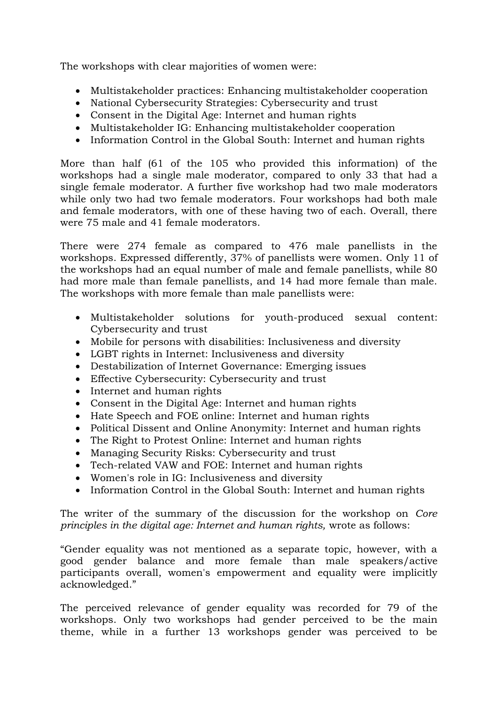The workshops with clear majorities of women were:

- Multistakeholder practices: Enhancing multistakeholder cooperation
- National Cybersecurity Strategies: Cybersecurity and trust
- Consent in the Digital Age: Internet and human rights
- Multistakeholder IG: Enhancing multistakeholder cooperation
- Information Control in the Global South: Internet and human rights

More than half (61 of the 105 who provided this information) of the workshops had a single male moderator, compared to only 33 that had a single female moderator. A further five workshop had two male moderators while only two had two female moderators. Four workshops had both male and female moderators, with one of these having two of each. Overall, there were 75 male and 41 female moderators.

There were 274 female as compared to 476 male panellists in the workshops. Expressed differently, 37% of panellists were women. Only 11 of the workshops had an equal number of male and female panellists, while 80 had more male than female panellists, and 14 had more female than male. The workshops with more female than male panellists were:

- Multistakeholder solutions for youth-produced sexual content: Cybersecurity and trust
- Mobile for persons with disabilities: Inclusiveness and diversity
- LGBT rights in Internet: Inclusiveness and diversity
- Destabilization of Internet Governance: Emerging issues
- Effective Cybersecurity: Cybersecurity and trust
- Internet and human rights
- Consent in the Digital Age: Internet and human rights
- Hate Speech and FOE online: Internet and human rights
- Political Dissent and Online Anonymity: Internet and human rights
- The Right to Protest Online: Internet and human rights
- Managing Security Risks: Cybersecurity and trust
- Tech-related VAW and FOE: Internet and human rights
- Women's role in IG: Inclusiveness and diversity
- Information Control in the Global South: Internet and human rights

The writer of the summary of the discussion for the workshop on *Core principles in the digital age: Internet and human rights,* wrote as follows:

"Gender equality was not mentioned as a separate topic, however, with a good gender balance and more female than male speakers/active participants overall, women's empowerment and equality were implicitly acknowledged."

The perceived relevance of gender equality was recorded for 79 of the workshops. Only two workshops had gender perceived to be the main theme, while in a further 13 workshops gender was perceived to be